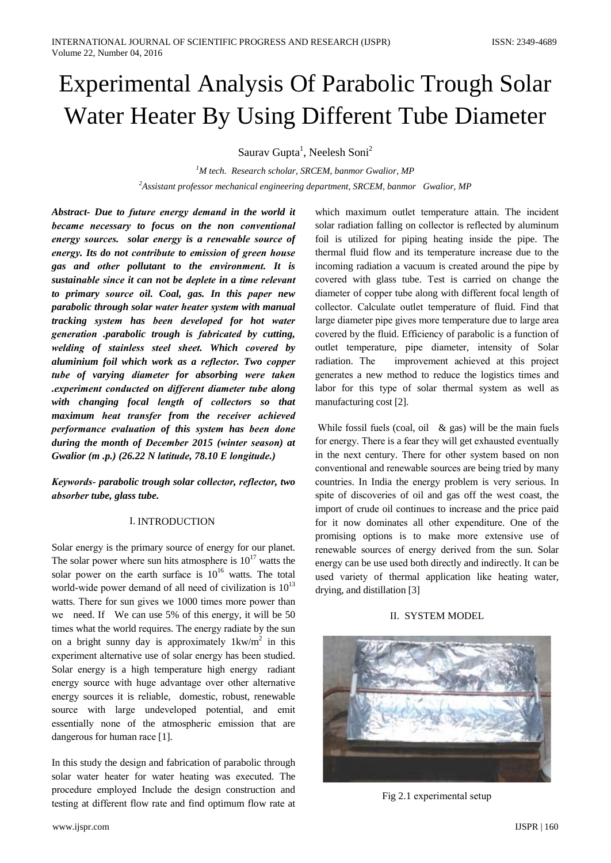# **Experimental Analysis Of Parabolic Trough Solar** Water Heater By Using Different Tube Diameter

Sauray Gupta<sup>1</sup>, Neelesh Soni<sup>2</sup>

 ${}^{1}M$  tech. Research scholar, SRCEM, banmor Gwalior, MP  ${}^{2}$ Assistant professor mechanical engineering department, SRCEM, banmor Gwalior, MP

Abstract- Due to future energy demand in the world it became necessary to focus on the non conventional energy sources. solar energy is a renewable source of energy. Its do not contribute to emission of green house gas and other pollutant to the environment. It is sustainable since it can not be deplete in a time relevant to primary source oil. Coal, gas. In this paper new parabolic through solar water heater system with manual tracking system has been developed for hot water generation parabolic trough is fabricated by cutting, welding of stainless steel sheet. Which covered by aluminium foil which work as a reflector. Two copper tube of varying diameter for absorbing were taken .experiment conducted on different diameter tube along with changing focal length of collectors so that maximum heat transfer from the receiver achieved performance evaluation of this system has been done during the month of December 2015 (winter season) at Gwalior (m.p.) (26.22 N latitude, 78.10 E longitude.)

Keywords- parabolic trough solar collector, reflector, two absorber tube, glass tube.

# **I. INTRODUCTION**

Solar energy is the primary source of energy for our planet. The solar power where sun hits atmosphere is  $10^{17}$  watts the solar power on the earth surface is  $10^{16}$  watts. The total world-wide power demand of all need of civilization is  $10^{13}$ watts. There for sun gives we 1000 times more power than we need. If We can use 5% of this energy, it will be 50 times what the world requires. The energy radiate by the sun on a bright sunny day is approximately  $1 \text{kw/m}^2$  in this experiment alternative use of solar energy has been studied. Solar energy is a high temperature high energy radiant energy source with huge advantage over other alternative energy sources it is reliable, domestic, robust, renewable source with large undeveloped potential, and emit essentially none of the atmospheric emission that are dangerous for human race [1].

In this study the design and fabrication of parabolic through solar water heater for water heating was executed. The procedure employed Include the design construction and testing at different flow rate and find optimum flow rate at

which maximum outlet temperature attain. The incident solar radiation falling on collector is reflected by aluminum foil is utilized for piping heating inside the pipe. The thermal fluid flow and its temperature increase due to the incoming radiation a vacuum is created around the pipe by covered with glass tube. Test is carried on change the diameter of copper tube along with different focal length of collector. Calculate outlet temperature of fluid. Find that large diameter pipe gives more temperature due to large area covered by the fluid. Efficiency of parabolic is a function of outlet temperature, pipe diameter, intensity of Solar radiation. The improvement achieved at this project generates a new method to reduce the logistics times and labor for this type of solar thermal system as well as manufacturing cost [2].

While fossil fuels (coal, oil  $\&$  gas) will be the main fuels for energy. There is a fear they will get exhausted eventually in the next century. There for other system based on non conventional and renewable sources are being tried by many countries. In India the energy problem is very serious. In spite of discoveries of oil and gas off the west coast, the import of crude oil continues to increase and the price paid for it now dominates all other expenditure. One of the promising options is to make more extensive use of renewable sources of energy derived from the sun. Solar energy can be use used both directly and indirectly. It can be used variety of thermal application like heating water, drying, and distillation [3]

# **II. SYSTEM MODEL**



Fig 2.1 experimental setup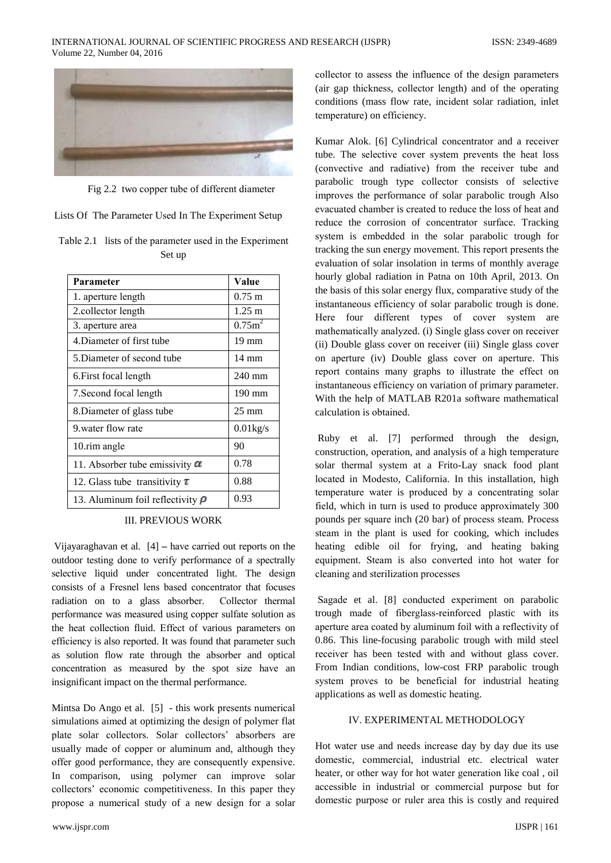

Fig 2.2 two copper tube of different diameter

Lists Of The Parameter Used In The Experiment Setup

|        | Table 2.1 lists of the parameter used in the Experiment |  |
|--------|---------------------------------------------------------|--|
| Set up |                                                         |  |

| Parameter                             | Value                          |
|---------------------------------------|--------------------------------|
| 1. aperture length                    | $0.75 \; \mathrm{m}$           |
| 2. collector length                   | $1.25 \; \mathrm{m}$           |
| 3. aperture area                      | 0.75 <sub>m</sub> <sup>2</sup> |
| 4. Diameter of first tube             | $19 \text{ mm}$                |
| 5. Diameter of second tube            | $14 \text{ mm}$                |
| 6. First focal length                 | $240 \text{ mm}$               |
| 7. Second focal length                | $190 \text{ mm}$               |
| 8. Diameter of glass tube             | $25 \text{ mm}$                |
| 9 water flow rate                     | $0.01$ kg/s                    |
| 10. rim angle                         | 90                             |
| 11. Absorber tube emissivity $\alpha$ | 0.78                           |
| 12. Glass tube transitivity $\tau$    | 0.88                           |
| 13. Aluminum foil reflectivity $\rho$ | 0.93                           |

# **III. PREVIOUS WORK**

Vijayaraghavan et al.  $[4]$  – have carried out reports on the outdoor testing done to verify performance of a spectrally selective liquid under concentrated light. The design consists of a Fresnel lens based concentrator that focuses radiation on to a glass absorber. Collector thermal performance was measured using copper sulfate solution as the heat collection fluid. Effect of various parameters on efficiency is also reported. It was found that parameter such as solution flow rate through the absorber and optical concentration as measured by the spot size have an insignificant impact on the thermal performance.

Mintsa Do Ango et al. [5] - this work presents numerical simulations aimed at optimizing the design of polymer flat plate solar collectors. Solar collectors' absorbers are usually made of copper or aluminum and, although they offer good performance, they are consequently expensive. In comparison, using polymer can improve solar collectors' economic competitiveness. In this paper they propose a numerical study of a new design for a solar

collector to assess the influence of the design parameters (air gap thickness, collector length) and of the operating conditions (mass flow rate, incident solar radiation, inlet temperature) on efficiency.

Kumar Alok. [6] Cylindrical concentrator and a receiver tube. The selective cover system prevents the heat loss (convective and radiative) from the receiver tube and parabolic trough type collector consists of selective improves the performance of solar parabolic trough Also evacuated chamber is created to reduce the loss of heat and reduce the corrosion of concentrator surface. Tracking system is embedded in the solar parabolic trough for tracking the sun energy movement. This report presents the evaluation of solar insolation in terms of monthly average hourly global radiation in Patna on 10th April, 2013. On the basis of this solar energy flux, comparative study of the instantaneous efficiency of solar parabolic trough is done. Here four different types of cover system are mathematically analyzed. (i) Single glass cover on receiver (ii) Double glass cover on receiver (iii) Single glass cover on aperture (iv) Double glass cover on aperture. This report contains many graphs to illustrate the effect on instantaneous efficiency on variation of primary parameter. With the help of MATLAB R201a software mathematical calculation is obtained

Ruby et al. [7] performed through the design, construction, operation, and analysis of a high temperature solar thermal system at a Frito-Lay snack food plant located in Modesto, California. In this installation, high temperature water is produced by a concentrating solar field, which in turn is used to produce approximately 300 pounds per square inch (20 bar) of process steam. Process steam in the plant is used for cooking, which includes heating edible oil for frying, and heating baking equipment. Steam is also converted into hot water for cleaning and sterilization processes

Sagade et al. [8] conducted experiment on parabolic trough made of fiberglass-reinforced plastic with its aperture area coated by aluminum foil with a reflectivity of 0.86. This line-focusing parabolic trough with mild steel receiver has been tested with and without glass cover. From Indian conditions, low-cost FRP parabolic trough system proves to be beneficial for industrial heating applications as well as domestic heating.

# IV. EXPERIMENTAL METHODOLOGY

Hot water use and needs increase day by day due its use domestic, commercial, industrial etc. electrical water heater, or other way for hot water generation like coal, oil accessible in industrial or commercial purpose but for domestic purpose or ruler area this is costly and required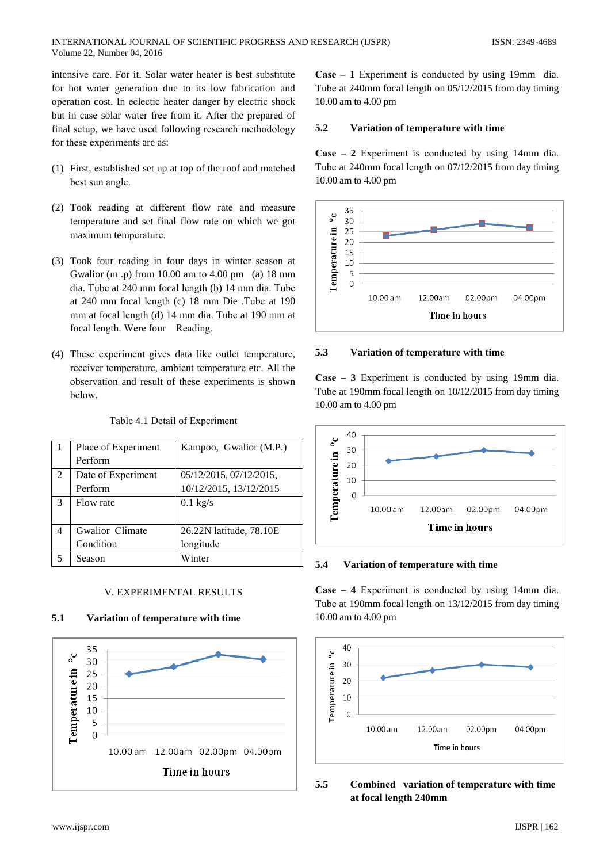intensive care. For it. Solar water heater is best substitute for hot water generation due to its low fabrication and operation cost. In eclectic heater danger by electric shock but in case solar water free from it. After the prepared of final setup, we have used following research methodology for these experiments are as:

- (1) First, established set up at top of the roof and matched best sun angle.
- (2) Took reading at different flow rate and measure temperature and set final flow rate on which we got maximum temperature.
- (3) Took four reading in four days in winter season at Gwalior (m.p) from 10.00 am to 4.00 pm (a) 18 mm dia. Tube at 240 mm focal length (b) 14 mm dia. Tube at 240 mm focal length (c) 18 mm Die .Tube at 190 mm at focal length (d) 14 mm dia. Tube at 190 mm at focal length. Were four Reading.
- (4) These experiment gives data like outlet temperature, receiver temperature, ambient temperature etc. All the observation and result of these experiments is shown below.

|               | Place of Experiment | Kampoo, Gwalior (M.P.)  |
|---------------|---------------------|-------------------------|
|               | Perform             |                         |
| 2             | Date of Experiment  | 05/12/2015, 07/12/2015, |
|               | Perform             | 10/12/2015, 13/12/2015  |
| $\mathcal{R}$ | Flow rate           | $0.1$ kg/s              |
|               |                     |                         |
| 4             | Gwalior Climate     | 26.22N latitude, 78.10E |
|               | Condition           | longitude               |
|               | Season              | Winter                  |

# Table 4.1 Detail of Experiment

### V. EXPERIMENTAL RESULTS

#### $5.1$ Variation of temperature with time



**Case – 1** Experiment is conducted by using 19mm dia. Tube at 240mm focal length on 05/12/2015 from day timing 10.00 am to 4.00 pm

#### 5.2 Variation of temperature with time

Case  $-2$  Experiment is conducted by using 14mm dia. Tube at 240mm focal length on 07/12/2015 from day timing 10.00 am to 4.00 pm



#### 5.3 Variation of temperature with time

Case  $-3$  Experiment is conducted by using 19mm dia. Tube at 190mm focal length on 10/12/2015 from day timing 10.00 am to 4.00 pm



#### 5.4 Variation of temperature with time

**Case – 4** Experiment is conducted by using 14mm dia. Tube at 190mm focal length on 13/12/2015 from day timing 10.00 am to 4.00 pm



### 5.5 Combined variation of temperature with time at focal length 240mm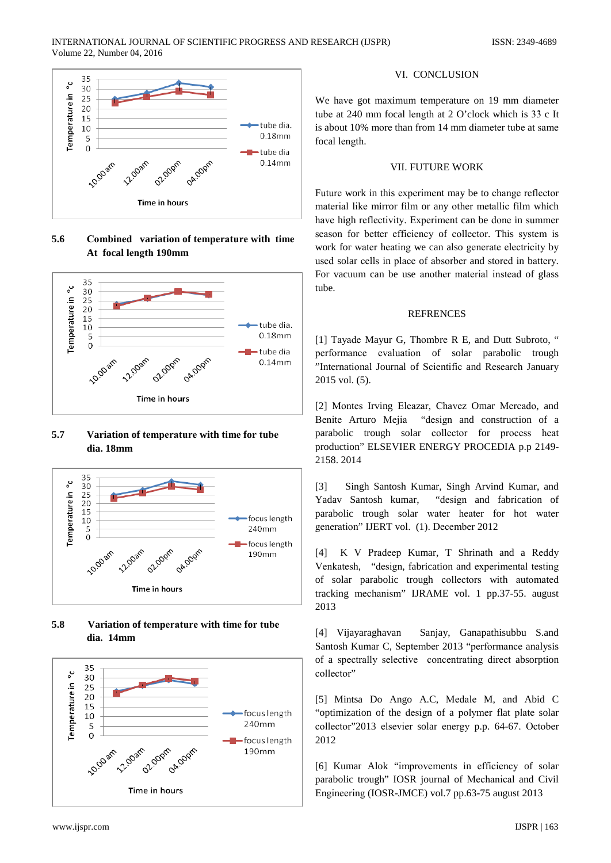

5.6 Combined variation of temperature with time At focal length 190mm



### 5.7 Variation of temperature with time for tube dia. 18mm



### 5.8 Variation of temperature with time for tube dia. 14mm



### VI. CONCLUSION

We have got maximum temperature on 19 mm diameter tube at 240 mm focal length at 2 O'clock which is 33 c It is about 10% more than from 14 mm diameter tube at same focal length.

### **VII. FUTURE WORK**

Future work in this experiment may be to change reflector material like mirror film or any other metallic film which have high reflectivity. Experiment can be done in summer season for better efficiency of collector. This system is work for water heating we can also generate electricity by used solar cells in place of absorber and stored in battery. For vacuum can be use another material instead of glass tube.

### **REFRENCES**

[1] Tayade Mayur G, Thombre R E, and Dutt Subroto, " performance evaluation of solar parabolic trough "International Journal of Scientific and Research January  $2015$  vol.  $(5)$ .

[2] Montes Irving Eleazar, Chavez Omar Mercado, and Benite Arturo Mejia "design and construction of a parabolic trough solar collector for process heat production" ELSEVIER ENERGY PROCEDIA p.p 2149-2158.2014

 $[3]$ Singh Santosh Kumar, Singh Arvind Kumar, and "design and fabrication of Yadav Santosh kumar, parabolic trough solar water heater for hot water generation" IJERT vol. (1). December 2012

 $[4]$ K V Pradeep Kumar, T Shrinath and a Reddy Venkatesh, "design, fabrication and experimental testing of solar parabolic trough collectors with automated tracking mechanism" IJRAME vol. 1 pp.37-55. august 2013

[4] Vijayaraghavan Sanjay, Ganapathisubbu S.and Santosh Kumar C, September 2013 "performance analysis of a spectrally selective concentrating direct absorption collector"

[5] Mintsa Do Ango A.C, Medale M, and Abid C "optimization of the design of a polymer flat plate solar collector"2013 elsevier solar energy p.p. 64-67. October 2012

[6] Kumar Alok "improvements in efficiency of solar parabolic trough" IOSR journal of Mechanical and Civil Engineering (IOSR-JMCE) vol.7 pp.63-75 august 2013